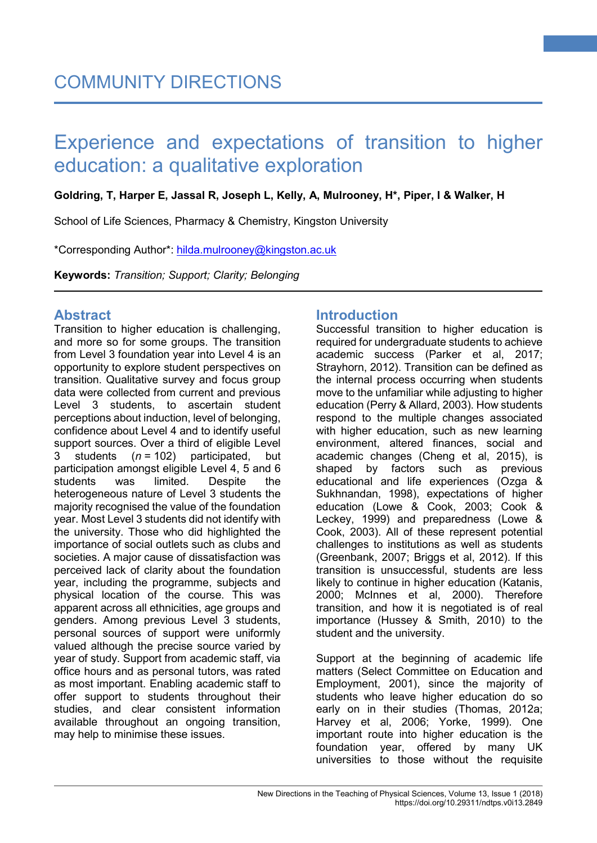#### **Goldring, T, Harper E, Jassal R, Joseph L, Kelly, A, Mulrooney, H\*, Piper, I & Walker, H**

School of Life Sciences, Pharmacy & Chemistry, Kingston University

\*Corresponding Author\*: [hilda.mulrooney@kingston.ac.uk](mailto:hilda.mulrooney@kingston.ac.uk)

**Keywords:** *Transition; Support; Clarity; Belonging*

## **Abstract**

Transition to higher education is challenging, and more so for some groups. The transition from Level 3 foundation year into Level 4 is an opportunity to explore student perspectives on transition. Qualitative survey and focus group data were collected from current and previous Level 3 students, to ascertain student perceptions about induction, level of belonging, confidence about Level 4 and to identify useful support sources. Over a third of eligible Level 3 students (*n* = 102) participated, but participation amongst eligible Level 4, 5 and 6 students was limited. Despite the heterogeneous nature of Level 3 students the majority recognised the value of the foundation year. Most Level 3 students did not identify with the university. Those who did highlighted the importance of social outlets such as clubs and societies. A major cause of dissatisfaction was perceived lack of clarity about the foundation year, including the programme, subjects and physical location of the course. This was apparent across all ethnicities, age groups and genders. Among previous Level 3 students, personal sources of support were uniformly valued although the precise source varied by year of study. Support from academic staff, via office hours and as personal tutors, was rated as most important. Enabling academic staff to offer support to students throughout their studies, and clear consistent information available throughout an ongoing transition, may help to minimise these issues.

# **Introduction**

Successful transition to higher education is required for undergraduate students to achieve academic success (Parker et al, 2017; Strayhorn, 2012). Transition can be defined as the internal process occurring when students move to the unfamiliar while adjusting to higher education (Perry & Allard, 2003). How students respond to the multiple changes associated with higher education, such as new learning environment, altered finances, social and academic changes (Cheng et al, 2015), is shaped by factors such as previous educational and life experiences (Ozga & Sukhnandan, 1998), expectations of higher education (Lowe & Cook, 2003; Cook & Leckey, 1999) and preparedness (Lowe & Cook, 2003). All of these represent potential challenges to institutions as well as students (Greenbank, 2007; Briggs et al, 2012). If this transition is unsuccessful, students are less likely to continue in higher education (Katanis, 2000; McInnes et al, 2000). Therefore transition, and how it is negotiated is of real importance (Hussey & Smith, 2010) to the student and the university.

**1**

Support at the beginning of academic life matters (Select Committee on Education and Employment, 2001), since the majority of students who leave higher education do so early on in their studies (Thomas, 2012a; Harvey et al, 2006; Yorke, 1999). One important route into higher education is the foundation year, offered by many UK universities to those without the requisite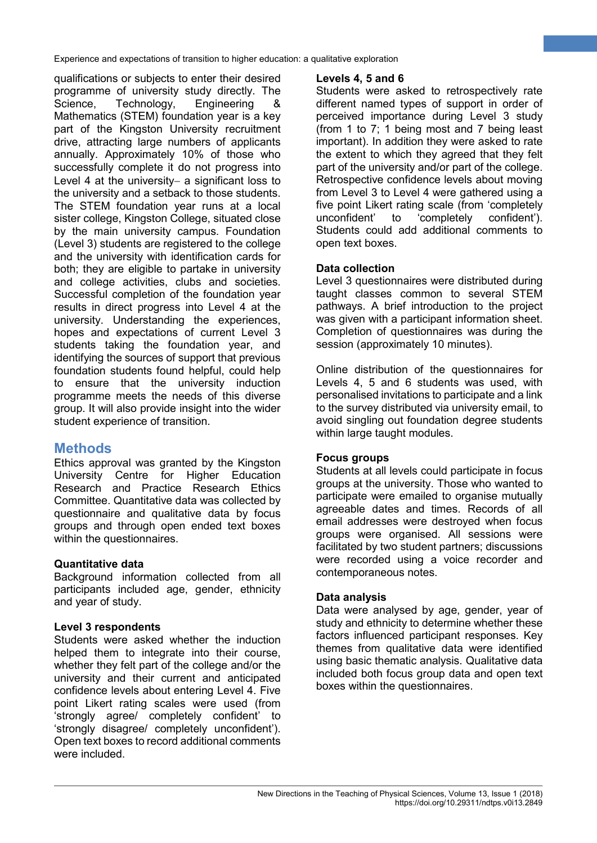qualifications or subjects to enter their desired programme of university study directly. The Science, Technology, Engineering & Mathematics (STEM) foundation year is a key part of the Kingston University recruitment drive, attracting large numbers of applicants annually. Approximately 10% of those who successfully complete it do not progress into Level 4 at the university– a significant loss to the university and a setback to those students. The STEM foundation year runs at a local sister college, Kingston College, situated close by the main university campus. Foundation (Level 3) students are registered to the college and the university with identification cards for both; they are eligible to partake in university and college activities, clubs and societies. Successful completion of the foundation year results in direct progress into Level 4 at the university. Understanding the experiences, hopes and expectations of current Level 3 students taking the foundation year, and identifying the sources of support that previous foundation students found helpful, could help to ensure that the university induction programme meets the needs of this diverse group. It will also provide insight into the wider student experience of transition.

# **Methods**

Ethics approval was granted by the Kingston University Centre for Higher Education Research and Practice Research Ethics Committee. Quantitative data was collected by questionnaire and qualitative data by focus groups and through open ended text boxes within the questionnaires.

## **Quantitative data**

Background information collected from all participants included age, gender, ethnicity and year of study.

#### **Level 3 respondents**

Students were asked whether the induction helped them to integrate into their course. whether they felt part of the college and/or the university and their current and anticipated confidence levels about entering Level 4. Five point Likert rating scales were used (from 'strongly agree/ completely confident' to 'strongly disagree/ completely unconfident'). Open text boxes to record additional comments were included.

## **Levels 4, 5 and 6**

Students were asked to retrospectively rate different named types of support in order of perceived importance during Level 3 study (from 1 to 7; 1 being most and 7 being least important). In addition they were asked to rate the extent to which they agreed that they felt part of the university and/or part of the college. Retrospective confidence levels about moving from Level 3 to Level 4 were gathered using a five point Likert rating scale (from 'completely unconfident' to 'completely confident'). Students could add additional comments to open text boxes.

**2**

## **Data collection**

Level 3 questionnaires were distributed during taught classes common to several STEM pathways. A brief introduction to the project was given with a participant information sheet. Completion of questionnaires was during the session (approximately 10 minutes).

Online distribution of the questionnaires for Levels 4, 5 and 6 students was used, with personalised invitations to participate and a link to the survey distributed via university email, to avoid singling out foundation degree students within large taught modules.

#### **Focus groups**

Students at all levels could participate in focus groups at the university. Those who wanted to participate were emailed to organise mutually agreeable dates and times. Records of all email addresses were destroyed when focus groups were organised. All sessions were facilitated by two student partners; discussions were recorded using a voice recorder and contemporaneous notes.

#### **Data analysis**

Data were analysed by age, gender, year of study and ethnicity to determine whether these factors influenced participant responses. Key themes from qualitative data were identified using basic thematic analysis. Qualitative data included both focus group data and open text boxes within the questionnaires.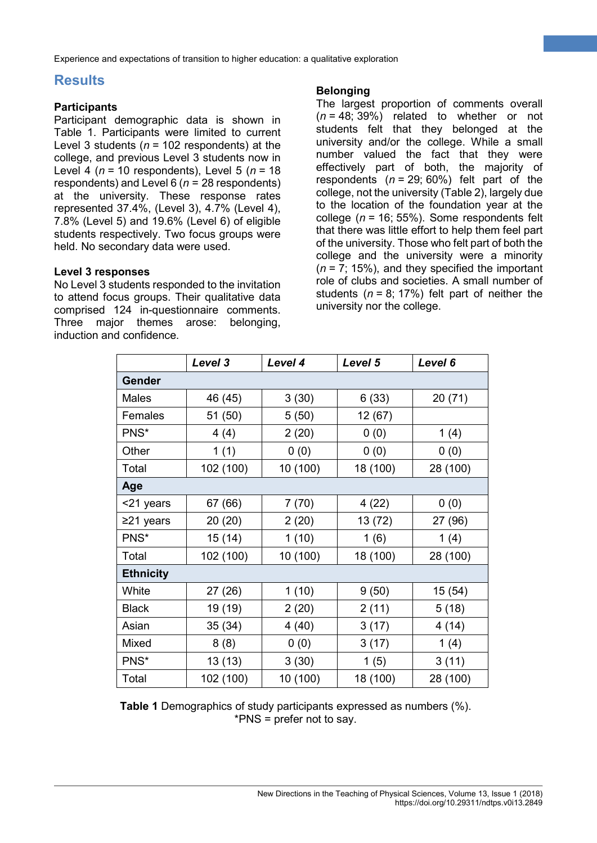# **Results**

#### **Participants**

Participant demographic data is shown in Table 1. Participants were limited to current Level 3 students (*n* = 102 respondents) at the college, and previous Level 3 students now in Level 4 (*n* = 10 respondents), Level 5 (*n* = 18 respondents) and Level 6 (*n* = 28 respondents) at the university. These response rates represented 37.4%, (Level 3), 4.7% (Level 4), 7.8% (Level 5) and 19.6% (Level 6) of eligible students respectively. Two focus groups were held. No secondary data were used.

#### **Level 3 responses**

No Level 3 students responded to the invitation to attend focus groups. Their qualitative data comprised 124 in-questionnaire comments. Three major themes arose: belonging, induction and confidence.

#### **Belonging**

The largest proportion of comments overall (*n* = 48; 39%) related to whether or not students felt that they belonged at the university and/or the college. While a small number valued the fact that they were effectively part of both, the majority of respondents (*n* = 29; 60%) felt part of the college, not the university (Table 2), largely due to the location of the foundation year at the college (*n* = 16; 55%). Some respondents felt that there was little effort to help them feel part of the university. Those who felt part of both the college and the university were a minority  $(n = 7, 15\%)$ , and they specified the important role of clubs and societies. A small number of students  $(n = 8; 17%)$  felt part of neither the university nor the college.

**3**

|                  | Level 3   | Level 4  | Level 5  | Level 6  |  |
|------------------|-----------|----------|----------|----------|--|
| <b>Gender</b>    |           |          |          |          |  |
| <b>Males</b>     | 46 (45)   | 3(30)    | 6(33)    | 20 (71)  |  |
| Females          | 51 (50)   | 5(50)    | 12(67)   |          |  |
| PNS*             | 4(4)      | 2(20)    | 0(0)     | 1(4)     |  |
| Other            | 1(1)      | 0(0)     | 0(0)     | 0(0)     |  |
| Total            | 102 (100) | 10 (100) | 18 (100) | 28 (100) |  |
| Age              |           |          |          |          |  |
| <21 years        | 67 (66)   | 7(70)    | 4(22)    | 0(0)     |  |
| ≥21 years        | 20 (20)   | 2(20)    | 13 (72)  | 27 (96)  |  |
| PNS*             | 15 (14)   | 1(10)    | 1(6)     | 1(4)     |  |
| Total            | 102 (100) | 10 (100) | 18 (100) | 28 (100) |  |
| <b>Ethnicity</b> |           |          |          |          |  |
| White            | 27 (26)   | 1(10)    | 9(50)    | 15 (54)  |  |
| <b>Black</b>     | 19 (19)   | 2(20)    | 2(11)    | 5(18)    |  |
| Asian            | 35 (34)   | 4(40)    | 3(17)    | 4(14)    |  |
| Mixed            | 8(8)      | 0(0)     | 3(17)    | 1(4)     |  |
| PNS*             | 13 (13)   | 3(30)    | 1(5)     | 3(11)    |  |
| Total            | 102 (100) | 10 (100) | 18 (100) | 28 (100) |  |

**Table 1** Demographics of study participants expressed as numbers (%). \*PNS = prefer not to say.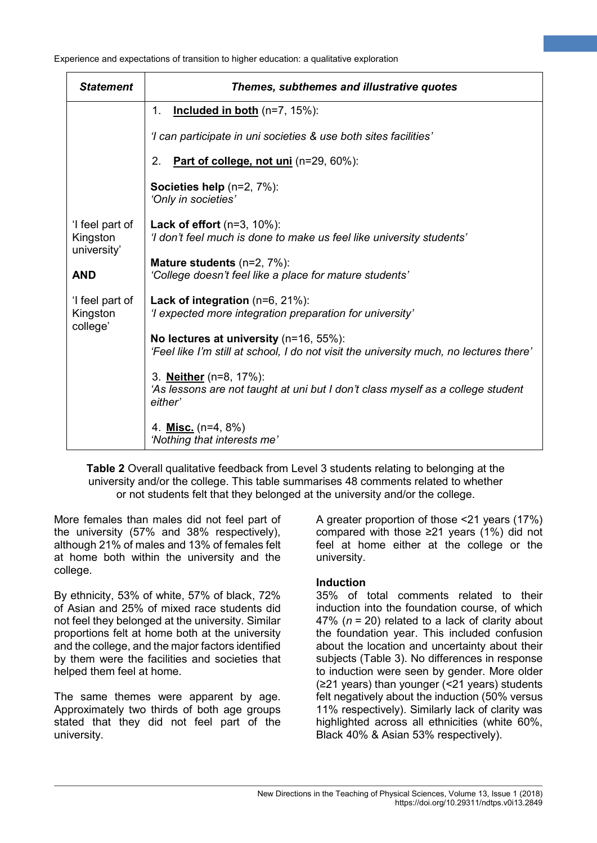| <b>Statement</b>                           | Themes, subthemes and illustrative quotes                                                                                        |  |  |  |  |
|--------------------------------------------|----------------------------------------------------------------------------------------------------------------------------------|--|--|--|--|
|                                            | Included in both (n=7, 15%):<br>1.                                                                                               |  |  |  |  |
|                                            | 'I can participate in uni societies & use both sites facilities'                                                                 |  |  |  |  |
|                                            | 2.<br>Part of college, not uni (n=29, 60%):                                                                                      |  |  |  |  |
|                                            | Societies help (n=2, 7%):<br>'Only in societies'                                                                                 |  |  |  |  |
| 'I feel part of<br>Kingston<br>university' | Lack of effort $(n=3, 10\%)$ :<br>'I don't feel much is done to make us feel like university students'                           |  |  |  |  |
| <b>AND</b>                                 | <b>Mature students</b> $(n=2, 7\%)$ :<br>'College doesn't feel like a place for mature students'                                 |  |  |  |  |
| 'I feel part of<br>Kingston<br>college'    | Lack of integration (n=6, 21%):<br>'I expected more integration preparation for university'                                      |  |  |  |  |
|                                            | No lectures at university (n=16, 55%):<br>'Feel like I'm still at school, I do not visit the university much, no lectures there' |  |  |  |  |
|                                            | 3. <b>Neither</b> (n=8, 17%):<br>'As lessons are not taught at uni but I don't class myself as a college student<br>either'      |  |  |  |  |
|                                            | 4. Misc. (n=4, 8%)<br>'Nothing that interests me'                                                                                |  |  |  |  |

**Table 2** Overall qualitative feedback from Level 3 students relating to belonging at the university and/or the college. This table summarises 48 comments related to whether or not students felt that they belonged at the university and/or the college.

More females than males did not feel part of the university (57% and 38% respectively), although 21% of males and 13% of females felt at home both within the university and the college.

By ethnicity, 53% of white, 57% of black, 72% of Asian and 25% of mixed race students did not feel they belonged at the university. Similar proportions felt at home both at the university and the college, and the major factors identified by them were the facilities and societies that helped them feel at home.

The same themes were apparent by age. Approximately two thirds of both age groups stated that they did not feel part of the university.

A greater proportion of those <21 years (17%) compared with those ≥21 years (1%) did not feel at home either at the college or the university.

**4**

#### **Induction**

35% of total comments related to their induction into the foundation course, of which 47% (*n* = 20) related to a lack of clarity about the foundation year. This included confusion about the location and uncertainty about their subjects (Table 3). No differences in response to induction were seen by gender. More older (≥21 years) than younger (<21 years) students felt negatively about the induction (50% versus 11% respectively). Similarly lack of clarity was highlighted across all ethnicities (white 60%, Black 40% & Asian 53% respectively).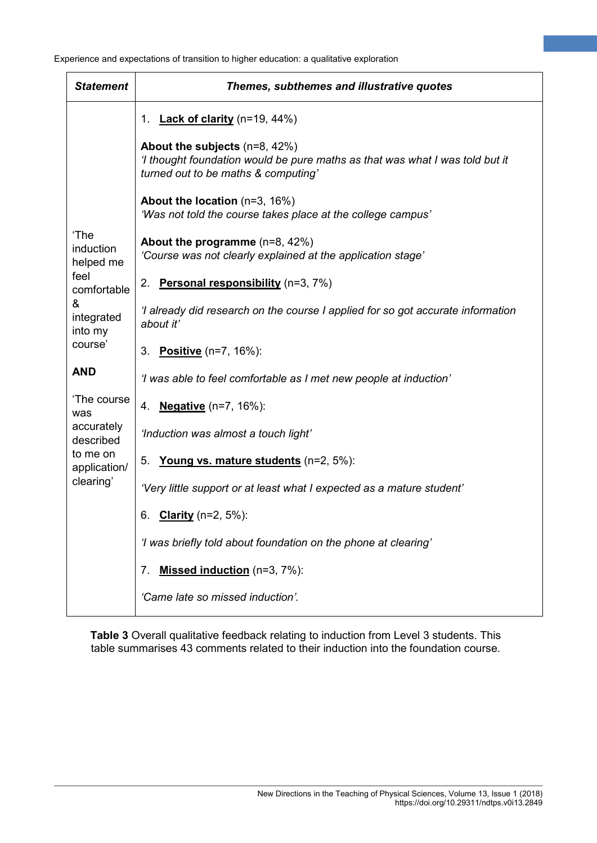| <b>Statement</b>                                                                               | Themes, subthemes and illustrative quotes                                                                                                            |  |  |  |  |
|------------------------------------------------------------------------------------------------|------------------------------------------------------------------------------------------------------------------------------------------------------|--|--|--|--|
|                                                                                                | 1. <b>Lack of clarity</b> (n=19, 44%)                                                                                                                |  |  |  |  |
| 'The<br>induction<br>helped me<br>feel<br>comfortable<br>&<br>integrated<br>into my<br>course' | About the subjects (n=8, 42%)<br>'I thought foundation would be pure maths as that was what I was told but it<br>turned out to be maths & computing' |  |  |  |  |
|                                                                                                | About the location (n=3, 16%)<br>'Was not told the course takes place at the college campus'                                                         |  |  |  |  |
|                                                                                                | About the programme $(n=8, 42%)$<br>'Course was not clearly explained at the application stage'                                                      |  |  |  |  |
|                                                                                                | Personal responsibility (n=3, 7%)<br>2.                                                                                                              |  |  |  |  |
|                                                                                                | 'I already did research on the course I applied for so got accurate information<br>about it'                                                         |  |  |  |  |
|                                                                                                | Positive (n=7, 16%):<br>3.                                                                                                                           |  |  |  |  |
| <b>AND</b>                                                                                     | 'I was able to feel comfortable as I met new people at induction'                                                                                    |  |  |  |  |
| 'The course<br>was<br>accurately<br>described<br>to me on<br>application/<br>clearing'         | 4. <b>Negative</b> (n=7, 16%):                                                                                                                       |  |  |  |  |
|                                                                                                | 'Induction was almost a touch light'                                                                                                                 |  |  |  |  |
|                                                                                                | 5.<br>Young vs. mature students (n=2, 5%):                                                                                                           |  |  |  |  |
|                                                                                                | 'Very little support or at least what I expected as a mature student'                                                                                |  |  |  |  |
|                                                                                                | <b>Clarity</b> ( $n=2, 5%$ ):<br>6.                                                                                                                  |  |  |  |  |
|                                                                                                | 'I was briefly told about foundation on the phone at clearing'                                                                                       |  |  |  |  |
|                                                                                                | Missed induction (n=3, 7%):<br>7.                                                                                                                    |  |  |  |  |
|                                                                                                | 'Came late so missed induction'.                                                                                                                     |  |  |  |  |

**Table 3** Overall qualitative feedback relating to induction from Level 3 students. This table summarises 43 comments related to their induction into the foundation course.

**5**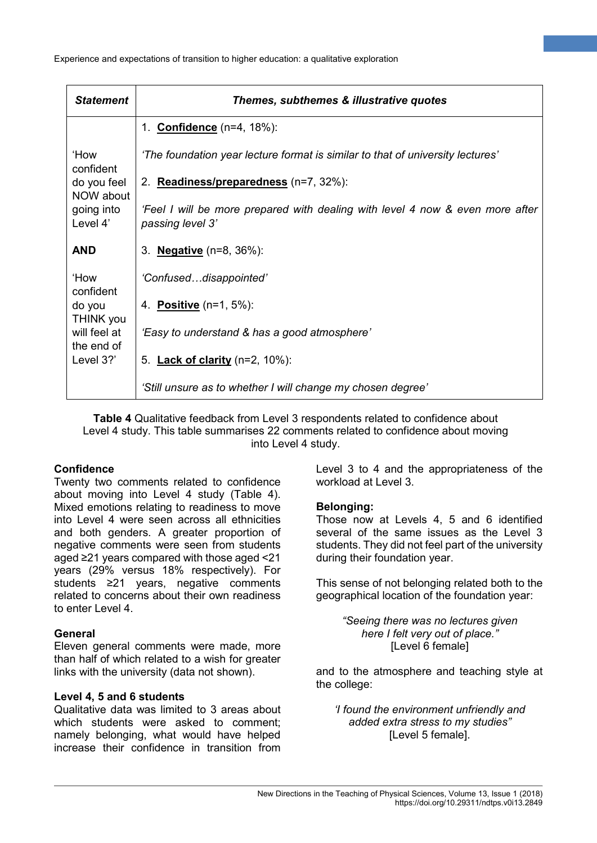| <b>Statement</b>                                   | Themes, subthemes & illustrative quotes                                                           |  |  |  |
|----------------------------------------------------|---------------------------------------------------------------------------------------------------|--|--|--|
|                                                    | 1. <b>Confidence</b> (n=4, 18%):                                                                  |  |  |  |
| 'How<br>confident                                  | 'The foundation year lecture format is similar to that of university lectures'                    |  |  |  |
| do you feel<br>NOW about<br>going into<br>Level 4' | 2. Readiness/preparedness (n=7, 32%):                                                             |  |  |  |
|                                                    | 'Feel I will be more prepared with dealing with level 4 now & even more after<br>passing level 3' |  |  |  |
| <b>AND</b>                                         | 3. <b>Negative</b> (n=8, 36%):                                                                    |  |  |  |
| 'How<br>confident                                  | 'Confuseddisappointed'                                                                            |  |  |  |
| do you<br><b>THINK you</b>                         | 4. <b>Positive</b> (n=1, 5%):                                                                     |  |  |  |
| will feel at<br>the end of                         | 'Easy to understand & has a good atmosphere'                                                      |  |  |  |
| Level 3?'                                          | 5. <b>Lack of clarity</b> (n=2, 10%):                                                             |  |  |  |
|                                                    | 'Still unsure as to whether I will change my chosen degree'                                       |  |  |  |

**Table 4** Qualitative feedback from Level 3 respondents related to confidence about Level 4 study. This table summarises 22 comments related to confidence about moving into Level 4 study.

#### **Confidence**

Twenty two comments related to confidence about moving into Level 4 study (Table 4). Mixed emotions relating to readiness to move into Level 4 were seen across all ethnicities and both genders. A greater proportion of negative comments were seen from students aged ≥21 years compared with those aged <21 years (29% versus 18% respectively). For students ≥21 years, negative comments related to concerns about their own readiness to enter Level 4.

#### **General**

Eleven general comments were made, more than half of which related to a wish for greater links with the university (data not shown).

#### **Level 4, 5 and 6 students**

Qualitative data was limited to 3 areas about which students were asked to comment: namely belonging, what would have helped increase their confidence in transition from

Level 3 to 4 and the appropriateness of the workload at Level 3.

**6**

#### **Belonging:**

Those now at Levels 4, 5 and 6 identified several of the same issues as the Level 3 students. They did not feel part of the university during their foundation year.

This sense of not belonging related both to the geographical location of the foundation year:

> *"Seeing there was no lectures given here I felt very out of place."* [Level 6 female]

and to the atmosphere and teaching style at the college:

*'I found the environment unfriendly and added extra stress to my studies"* [Level 5 female].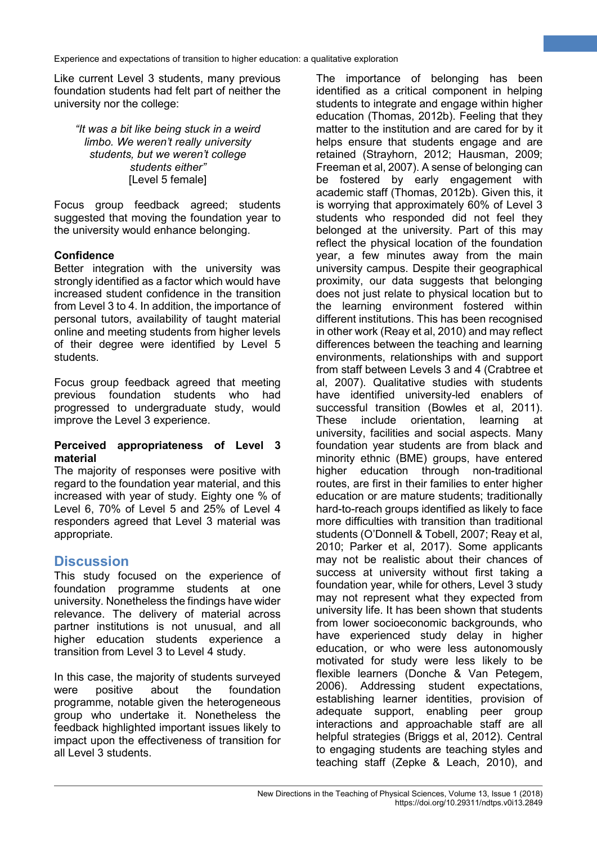Like current Level 3 students, many previous foundation students had felt part of neither the university nor the college:

*"It was a bit like being stuck in a weird limbo. We weren't really university students, but we weren't college students either"* [Level 5 female]

Focus group feedback agreed; students suggested that moving the foundation year to the university would enhance belonging.

## **Confidence**

Better integration with the university was strongly identified as a factor which would have increased student confidence in the transition from Level 3 to 4. In addition, the importance of personal tutors, availability of taught material online and meeting students from higher levels of their degree were identified by Level 5 students.

Focus group feedback agreed that meeting previous foundation students who had progressed to undergraduate study, would improve the Level 3 experience.

#### **Perceived appropriateness of Level 3 material**

The majority of responses were positive with regard to the foundation year material, and this increased with year of study. Eighty one % of Level 6, 70% of Level 5 and 25% of Level 4 responders agreed that Level 3 material was appropriate.

# **Discussion**

This study focused on the experience of foundation programme students at one university. Nonetheless the findings have wider relevance. The delivery of material across partner institutions is not unusual, and all higher education students experience a transition from Level 3 to Level 4 study.

In this case, the majority of students surveyed were positive about the foundation programme, notable given the heterogeneous group who undertake it. Nonetheless the feedback highlighted important issues likely to impact upon the effectiveness of transition for all Level 3 students.

The importance of belonging has been identified as a critical component in helping students to integrate and engage within higher education (Thomas, 2012b). Feeling that they matter to the institution and are cared for by it helps ensure that students engage and are retained (Strayhorn, 2012; Hausman, 2009; Freeman et al, 2007). A sense of belonging can be fostered by early engagement with academic staff (Thomas, 2012b). Given this, it is worrying that approximately 60% of Level 3 students who responded did not feel they belonged at the university. Part of this may reflect the physical location of the foundation year, a few minutes away from the main university campus. Despite their geographical proximity, our data suggests that belonging does not just relate to physical location but to the learning environment fostered within different institutions. This has been recognised in other work (Reay et al, 2010) and may reflect differences between the teaching and learning environments, relationships with and support from staff between Levels 3 and 4 (Crabtree et al, 2007). Qualitative studies with students have identified university-led enablers of successful transition (Bowles et al, 2011). These include orientation, learning at university, facilities and social aspects. Many foundation year students are from black and minority ethnic (BME) groups, have entered higher education through non-traditional routes, are first in their families to enter higher education or are mature students; traditionally hard-to-reach groups identified as likely to face more difficulties with transition than traditional students (O'Donnell & Tobell, 2007; Reay et al, 2010; Parker et al, 2017). Some applicants may not be realistic about their chances of success at university without first taking a foundation year, while for others, Level 3 study may not represent what they expected from university life. It has been shown that students from lower socioeconomic backgrounds, who have experienced study delay in higher education, or who were less autonomously motivated for study were less likely to be flexible learners (Donche & Van Petegem, 2006). Addressing student expectations, establishing learner identities, provision of adequate support, enabling peer group interactions and approachable staff are all helpful strategies (Briggs et al, 2012). Central to engaging students are teaching styles and teaching staff (Zepke & Leach, 2010), and

**7**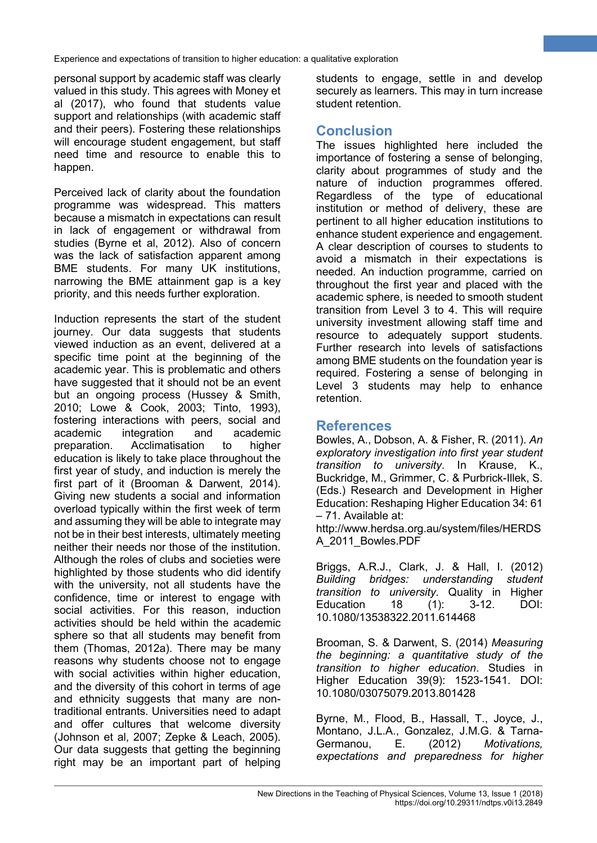personal support by academic staff was clearly valued in this study. This agrees with Money et al (2017), who found that students value support and relationships (with academic staff and their peers). Fostering these relationships will encourage student engagement, but staff need time and resource to enable this to happen.

Perceived lack of clarity about the foundation programme was widespread. This matters because a mismatch in expectations can result in lack of engagement or withdrawal from studies (Byrne et al, 2012). Also of concern was the lack of satisfaction apparent among BME students. For many UK institutions, narrowing the BME attainment gap is a key priority, and this needs further exploration.

Induction represents the start of the student journey. Our data suggests that students viewed induction as an event, delivered at a specific time point at the beginning of the academic year. This is problematic and others have suggested that it should not be an event but an ongoing process (Hussey & Smith, 2010; Lowe & Cook, 2003; Tinto, 1993), fostering interactions with peers, social and academic integration and academic preparation. Acclimatisation to higher education is likely to take place throughout the first year of study, and induction is merely the first part of it (Brooman & Darwent, 2014). Giving new students a social and information overload typically within the first week of term and assuming they will be able to integrate may not be in their best interests, ultimately meeting neither their needs nor those of the institution. Although the roles of clubs and societies were highlighted by those students who did identify with the university, not all students have the confidence, time or interest to engage with social activities. For this reason, induction activities should be held within the academic sphere so that all students may benefit from them (Thomas, 2012a). There may be many reasons why students choose not to engage with social activities within higher education, and the diversity of this cohort in terms of age and ethnicity suggests that many are nontraditional entrants. Universities need to adapt and offer cultures that welcome diversity (Johnson et al, 2007; Zepke & Leach, 2005). Our data suggests that getting the beginning right may be an important part of helping students to engage, settle in and develop securely as learners. This may in turn increase student retention.

**8**

# **Conclusion**

The issues highlighted here included the importance of fostering a sense of belonging, clarity about programmes of study and the nature of induction programmes offered. Regardless of the type of educational institution or method of delivery, these are pertinent to all higher education institutions to enhance student experience and engagement. A clear description of courses to students to avoid a mismatch in their expectations is needed. An induction programme, carried on throughout the first year and placed with the academic sphere, is needed to smooth student transition from Level 3 to 4. This will require university investment allowing staff time and resource to adequately support students. Further research into levels of satisfactions among BME students on the foundation year is required. Fostering a sense of belonging in Level 3 students may help to enhance retention.

## **References**

Bowles, A., Dobson, A. & Fisher, R. (2011). *An exploratory investigation into first year student transition to university*. In Krause, K., Buckridge, M., Grimmer, C. & Purbrick-Illek, S. (Eds.) Research and Development in Higher Education: Reshaping Higher Education 34: 61 – 71. Available at:

http://www.herdsa.org.au/system/files/HERDS A\_2011\_Bowles.PDF

Briggs, A.R.J., Clark, J. & Hall, I. (2012) *Building bridges: understanding student transition to university*. Quality in Higher Education 18 (1): 3-12. DOI: 10.1080/13538322.2011.614468

Brooman, S. & Darwent, S. (2014) *Measuring the beginning: a quantitative study of the transition to higher education*. Studies in Higher Education 39(9): 1523-1541. DOI: 10.1080/03075079.2013.801428

Byrne, M., Flood, B., Hassall, T., Joyce, J., Montano, J.L.A., Gonzalez, J.M.G. & Tarna-Germanou, E. (2012) *Motivations, expectations and preparedness for higher*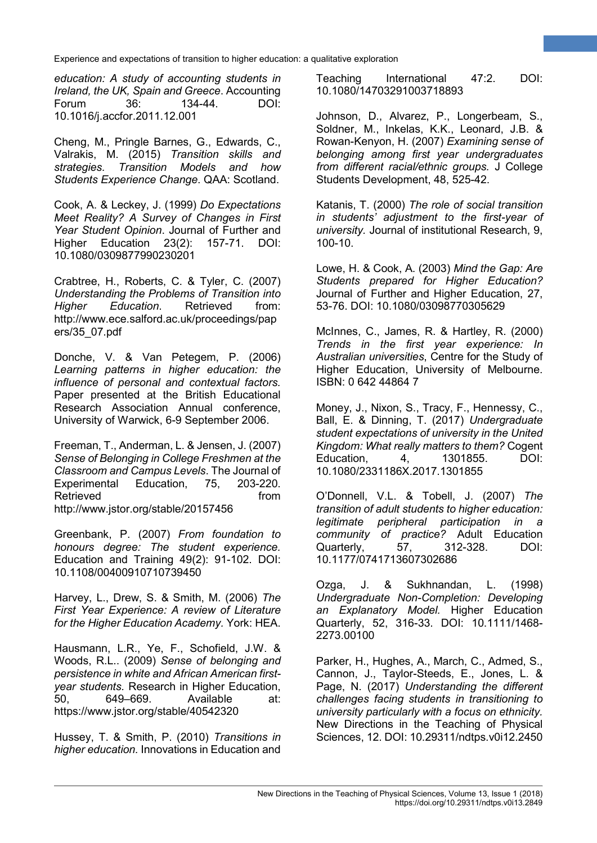*education: A study of accounting students in Ireland, the UK, Spain and Greece*. Accounting 134-44. DOI: 10.1016/j.accfor.2011.12.001

Cheng, M., Pringle Barnes, G., Edwards, C., Valrakis, M. (2015) *Transition skills and strategies. Transition Models and how Students Experience Change*. QAA: Scotland.

Cook, A. & Leckey, J. (1999) *Do Expectations Meet Reality? A Survey of Changes in First Year Student Opinion*. Journal of Further and Higher Education 23(2): 157-71. DOI: 10.1080/0309877990230201

Crabtree, H., Roberts, C. & Tyler, C. (2007) *Understanding the Problems of Transition into Higher Education*. Retrieved from: http://www.ece.salford.ac.uk/proceedings/pap ers/35\_07.pdf

Donche, V. & Van Petegem, P. (2006) *Learning patterns in higher education: the influence of personal and contextual factors.*  Paper presented at the British Educational Research Association Annual conference, University of Warwick, 6-9 September 2006.

Freeman, T., Anderman, L. & Jensen, J. (2007) *Sense of Belonging in College Freshmen at the Classroom and Campus Levels*. The Journal of Experimental Education, 75, 203-220. Retrieved **from** http://www.jstor.org/stable/20157456

Greenbank, P. (2007) *From foundation to honours degree: The student experience.*  Education and Training 49(2): 91-102. DOI: 10.1108/00400910710739450

Harvey, L., Drew, S. & Smith, M. (2006) *The First Year Experience: A review of Literature for the Higher Education Academy.* York: HEA.

Hausmann, L.R., Ye, F., Schofield, J.W. & Woods, R.L.. (2009) *Sense of belonging and persistence in white and African American firstyear students.* Research in Higher Education, 50, 649–669. Available at: https://www.jstor.org/stable/40542320

Hussey, T. & Smith, P. (2010) *Transitions in higher education.* Innovations in Education and Teaching International 47:2. DOI: 10.1080/14703291003718893

**9**

Johnson, D., Alvarez, P., Longerbeam, S., Soldner, M., Inkelas, K.K., Leonard, J.B. & Rowan-Kenyon, H. (2007) *Examining sense of belonging among first year undergraduates from different racial/ethnic groups.* J College Students Development, 48, 525-42.

Katanis, T. (2000) *The role of social transition in students' adjustment to the first-year of university.* Journal of institutional Research, 9, 100-10.

Lowe, H. & Cook, A. (2003) *Mind the Gap: Are Students prepared for Higher Education?*  Journal of Further and Higher Education, 27, 53-76. DOI: 10.1080/03098770305629

McInnes, C., James, R. & Hartley, R. (2000) *Trends in the first year experience: In Australian universities*, Centre for the Study of Higher Education, University of Melbourne. ISBN: 0 642 44864 7

Money, J., Nixon, S., Tracy, F., Hennessy, C., Ball, E. & Dinning, T. (2017) *Undergraduate student expectations of university in the United Kingdom: What really matters to them?* Cogent Education, 4, 1301855. DOI: 10.1080/2331186X.2017.1301855

O'Donnell, V.L. & Tobell, J. (2007) *The transition of adult students to higher education: legitimate peripheral participation in a community of practice?* Adult Education Quarterly, 57, 312-328. DOI: 10.1177/0741713607302686

Ozga, J. & Sukhnandan, L. (1998) *Undergraduate Non-Completion: Developing an Explanatory Model.* Higher Education Quarterly, 52, 316-33. DOI: 10.1111/1468- 2273.00100

Parker, H., Hughes, A., March, C., Admed, S., Cannon, J., Taylor-Steeds, E., Jones, L. & Page, N. (2017) *Understanding the different challenges facing students in transitioning to university particularly with a focus on ethnicity.*  New Directions in the Teaching of Physical Sciences, 12. DOI: 10.29311/ndtps.v0i12.2450